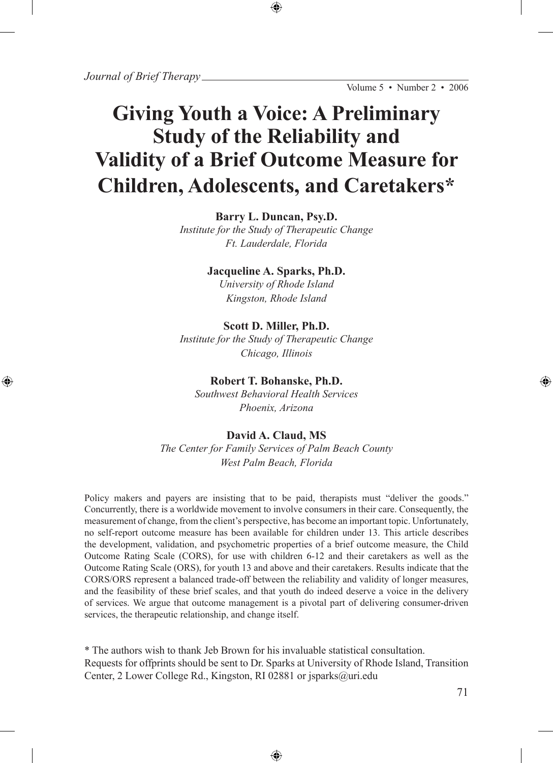# **Giving Youth a Voice: A Preliminary Study of the Reliability and Validity of a Brief Outcome Measure for Children, Adolescents, and Caretakers\***

## **Barry L. Duncan, Psy.D.**

*Institute for the Study of Therapeutic Change Ft. Lauderdale, Florida*

## **Jacqueline A. Sparks, Ph.D.**

*University of Rhode Island Kingston, Rhode Island*

## **Scott D. Miller, Ph.D.**

*Institute for the Study of Therapeutic Change Chicago, Illinois*

## **Robert T. Bohanske, Ph.D.**

*Southwest Behavioral Health Services Phoenix, Arizona* 

## **David A. Claud, MS**

*The Center for Family Services of Palm Beach County West Palm Beach, Florida*

Policy makers and payers are insisting that to be paid, therapists must "deliver the goods." Concurrently, there is a worldwide movement to involve consumers in their care. Consequently, the measurement of change, from the client's perspective, has become an important topic. Unfortunately, no self-report outcome measure has been available for children under 13. This article describes the development, validation, and psychometric properties of a brief outcome measure, the Child Outcome Rating Scale (CORS), for use with children 6-12 and their caretakers as well as the Outcome Rating Scale (ORS), for youth 13 and above and their caretakers. Results indicate that the CORS/ORS represent a balanced trade-off between the reliability and validity of longer measures, and the feasibility of these brief scales, and that youth do indeed deserve a voice in the delivery of services. We argue that outcome management is a pivotal part of delivering consumer-driven services, the therapeutic relationship, and change itself.

\* The authors wish to thank Jeb Brown for his invaluable statistical consultation. Requests for offprints should be sent to Dr. Sparks at University of Rhode Island, Transition Center, 2 Lower College Rd., Kingston, RI 02881 or jsparks@uri.edu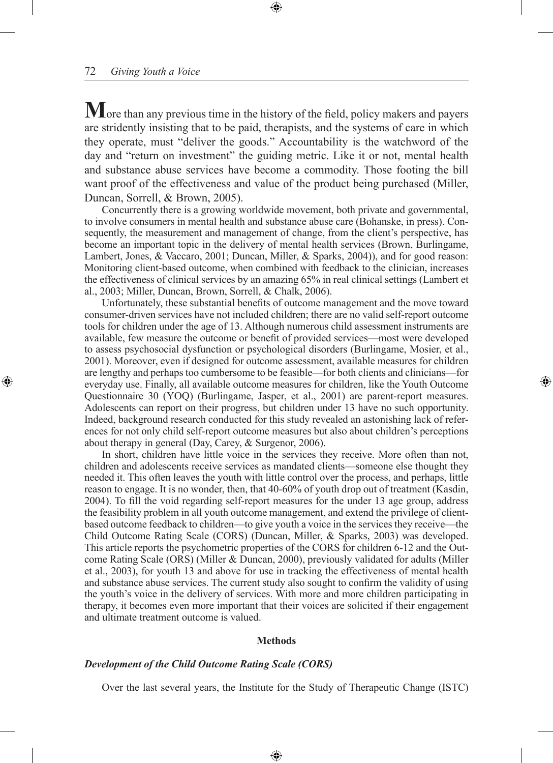**M** ore than any previous time in the history of the field, policy makers and payers are stridently insisting that to be paid, therapists, and the systems of care in which they operate, must "deliver the goods." Accountability is the watchword of the day and "return on investment" the guiding metric. Like it or not, mental health and substance abuse services have become a commodity. Those footing the bill want proof of the effectiveness and value of the product being purchased (Miller, Duncan, Sorrell, & Brown, 2005).

Concurrently there is a growing worldwide movement, both private and governmental, to involve consumers in mental health and substance abuse care (Bohanske, in press). Consequently, the measurement and management of change, from the client's perspective, has become an important topic in the delivery of mental health services (Brown, Burlingame, Lambert, Jones, & Vaccaro, 2001; Duncan, Miller, & Sparks, 2004), and for good reason: Monitoring client-based outcome, when combined with feedback to the clinician, increases the effectiveness of clinical services by an amazing 65% in real clinical settings (Lambert et al., 2003; Miller, Duncan, Brown, Sorrell, & Chalk, 2006).

Unfortunately, these substantial benefits of outcome management and the move toward consumer-driven services have not included children; there are no valid self-report outcome tools for children under the age of 13. Although numerous child assessment instruments are available, few measure the outcome or benefit of provided services—most were developed to assess psychosocial dysfunction or psychological disorders (Burlingame, Mosier, et al., 2001). Moreover, even if designed for outcome assessment, available measures for children are lengthy and perhaps too cumbersome to be feasible—for both clients and clinicians—for everyday use. Finally, all available outcome measures for children, like the Youth Outcome Questionnaire 30 (YOQ) (Burlingame, Jasper, et al., 2001) are parent-report measures. Adolescents can report on their progress, but children under 13 have no such opportunity. Indeed, background research conducted for this study revealed an astonishing lack of references for not only child self-report outcome measures but also about children's perceptions about therapy in general (Day, Carey, & Surgenor, 2006).

In short, children have little voice in the services they receive. More often than not, children and adolescents receive services as mandated clients—someone else thought they needed it. This often leaves the youth with little control over the process, and perhaps, little reason to engage. It is no wonder, then, that 40-60% of youth drop out of treatment (Kasdin, 2004). To fill the void regarding self-report measures for the under 13 age group, address the feasibility problem in all youth outcome management, and extend the privilege of clientbased outcome feedback to children—to give youth a voice in the services they receive—the Child Outcome Rating Scale (CORS) (Duncan, Miller, & Sparks, 2003) was developed. This article reports the psychometric properties of the CORS for children 6-12 and the Outcome Rating Scale (ORS) (Miller & Duncan, 2000), previously validated for adults (Miller et al., 2003), for youth 13 and above for use in tracking the effectiveness of mental health and substance abuse services. The current study also sought to confirm the validity of using the youth's voice in the delivery of services. With more and more children participating in therapy, it becomes even more important that their voices are solicited if their engagement and ultimate treatment outcome is valued.

### **Methods**

### *Development of the Child Outcome Rating Scale (CORS)*

Over the last several years, the Institute for the Study of Therapeutic Change (ISTC)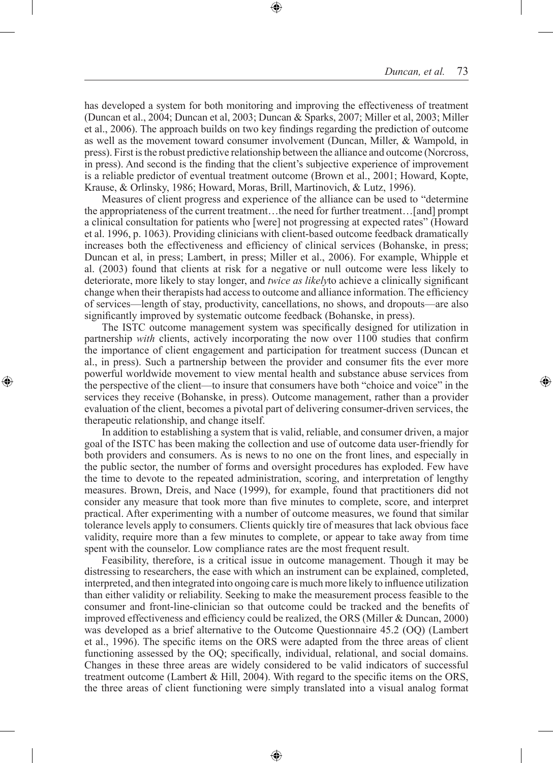has developed a system for both monitoring and improving the effectiveness of treatment (Duncan et al., 2004; Duncan et al, 2003; Duncan & Sparks, 2007; Miller et al, 2003; Miller et al., 2006). The approach builds on two key findings regarding the prediction of outcome as well as the movement toward consumer involvement (Duncan, Miller, & Wampold, in press). First is the robust predictive relationship between the alliance and outcome (Norcross, in press). And second is the finding that the client's subjective experience of improvement is a reliable predictor of eventual treatment outcome (Brown et al., 2001; Howard, Kopte, Krause, & Orlinsky, 1986; Howard, Moras, Brill, Martinovich, & Lutz, 1996).

Measures of client progress and experience of the alliance can be used to "determine the appropriateness of the current treatment…the need for further treatment…[and] prompt a clinical consultation for patients who [were] not progressing at expected rates" (Howard et al. 1996, p. 1063). Providing clinicians with client-based outcome feedback dramatically increases both the effectiveness and efficiency of clinical services (Bohanske, in press; Duncan et al, in press; Lambert, in press; Miller et al., 2006). For example, Whipple et al. (2003) found that clients at risk for a negative or null outcome were less likely to deteriorate, more likely to stay longer, and *twice as likely*to achieve a clinically significant change when their therapists had access to outcome and alliance information. The efficiency of services—length of stay, productivity, cancellations, no shows, and dropouts—are also significantly improved by systematic outcome feedback (Bohanske, in press).

The ISTC outcome management system was specifically designed for utilization in partnership *with* clients, actively incorporating the now over 1100 studies that confirm the importance of client engagement and participation for treatment success (Duncan et al., in press). Such a partnership between the provider and consumer fits the ever more powerful worldwide movement to view mental health and substance abuse services from the perspective of the client—to insure that consumers have both "choice and voice" in the services they receive (Bohanske, in press). Outcome management, rather than a provider evaluation of the client, becomes a pivotal part of delivering consumer-driven services, the therapeutic relationship, and change itself.

In addition to establishing a system that is valid, reliable, and consumer driven, a major goal of the ISTC has been making the collection and use of outcome data user-friendly for both providers and consumers. As is news to no one on the front lines, and especially in the public sector, the number of forms and oversight procedures has exploded. Few have the time to devote to the repeated administration, scoring, and interpretation of lengthy measures. Brown, Dreis, and Nace (1999), for example, found that practitioners did not consider any measure that took more than five minutes to complete, score, and interpret practical. After experimenting with a number of outcome measures, we found that similar tolerance levels apply to consumers. Clients quickly tire of measures that lack obvious face validity, require more than a few minutes to complete, or appear to take away from time spent with the counselor. Low compliance rates are the most frequent result.

Feasibility, therefore, is a critical issue in outcome management. Though it may be distressing to researchers, the ease with which an instrument can be explained, completed, interpreted, and then integrated into ongoing care is much more likely to influence utilization than either validity or reliability. Seeking to make the measurement process feasible to the consumer and front-line-clinician so that outcome could be tracked and the benefits of improved effectiveness and efficiency could be realized, the ORS (Miller & Duncan, 2000) was developed as a brief alternative to the Outcome Questionnaire 45.2 (OQ) (Lambert et al., 1996). The specific items on the ORS were adapted from the three areas of client functioning assessed by the OQ; specifically, individual, relational, and social domains. Changes in these three areas are widely considered to be valid indicators of successful treatment outcome (Lambert & Hill, 2004). With regard to the specific items on the ORS, the three areas of client functioning were simply translated into a visual analog format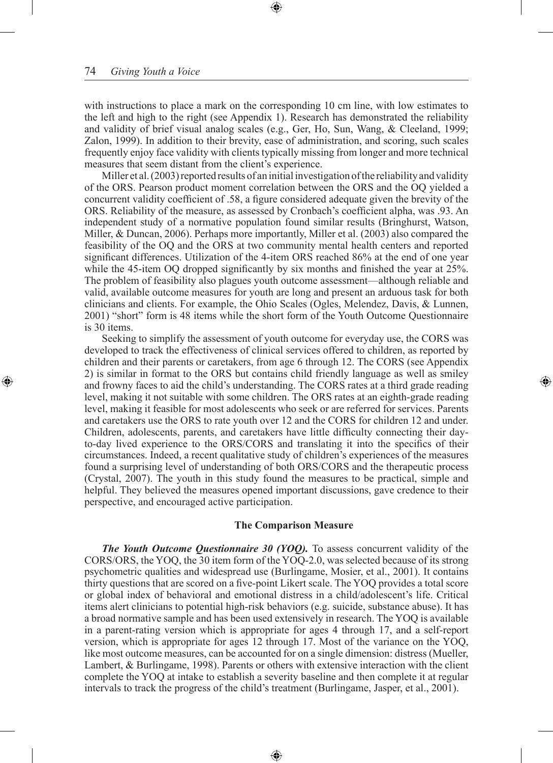with instructions to place a mark on the corresponding 10 cm line, with low estimates to the left and high to the right (see Appendix 1). Research has demonstrated the reliability and validity of brief visual analog scales (e.g., Ger, Ho, Sun, Wang, & Cleeland, 1999; Zalon, 1999). In addition to their brevity, ease of administration, and scoring, such scales frequently enjoy face validity with clients typically missing from longer and more technical measures that seem distant from the client's experience.

Miller et al. (2003) reported results of an initial investigation of the reliability and validity of the ORS. Pearson product moment correlation between the ORS and the OQ yielded a concurrent validity coefficient of .58, a figure considered adequate given the brevity of the ORS. Reliability of the measure, as assessed by Cronbach's coefficient alpha, was .93. An independent study of a normative population found similar results (Bringhurst, Watson, Miller, & Duncan, 2006). Perhaps more importantly, Miller et al. (2003) also compared the feasibility of the OQ and the ORS at two community mental health centers and reported significant differences. Utilization of the 4-item ORS reached 86% at the end of one year while the 45-item OQ dropped significantly by six months and finished the year at 25%. The problem of feasibility also plagues youth outcome assessment—although reliable and valid, available outcome measures for youth are long and present an arduous task for both clinicians and clients. For example, the Ohio Scales (Ogles, Melendez, Davis, & Lunnen, 2001) "short" form is 48 items while the short form of the Youth Outcome Questionnaire is 30 items.

Seeking to simplify the assessment of youth outcome for everyday use, the CORS was developed to track the effectiveness of clinical services offered to children, as reported by children and their parents or caretakers, from age 6 through 12. The CORS (see Appendix 2) is similar in format to the ORS but contains child friendly language as well as smiley and frowny faces to aid the child's understanding. The CORS rates at a third grade reading level, making it not suitable with some children. The ORS rates at an eighth-grade reading level, making it feasible for most adolescents who seek or are referred for services. Parents and caretakers use the ORS to rate youth over 12 and the CORS for children 12 and under. Children, adolescents, parents, and caretakers have little difficulty connecting their dayto-day lived experience to the ORS/CORS and translating it into the specifics of their circumstances. Indeed, a recent qualitative study of children's experiences of the measures found a surprising level of understanding of both ORS/CORS and the therapeutic process (Crystal, 2007). The youth in this study found the measures to be practical, simple and helpful. They believed the measures opened important discussions, gave credence to their perspective, and encouraged active participation.

#### **The Comparison Measure**

*The Youth Outcome Questionnaire 30 (YOQ).* To assess concurrent validity of the CORS/ORS, the YOQ, the 30 item form of the YOQ-2.0, was selected because of its strong psychometric qualities and widespread use (Burlingame, Mosier, et al., 2001). It contains thirty questions that are scored on a five-point Likert scale. The YOQ provides a total score or global index of behavioral and emotional distress in a child/adolescent's life. Critical items alert clinicians to potential high-risk behaviors (e.g. suicide, substance abuse). It has a broad normative sample and has been used extensively in research. The YOQ is available in a parent-rating version which is appropriate for ages 4 through 17, and a self-report version, which is appropriate for ages 12 through 17. Most of the variance on the YOQ, like most outcome measures, can be accounted for on a single dimension: distress (Mueller, Lambert, & Burlingame, 1998). Parents or others with extensive interaction with the client complete the YOQ at intake to establish a severity baseline and then complete it at regular intervals to track the progress of the child's treatment (Burlingame, Jasper, et al., 2001).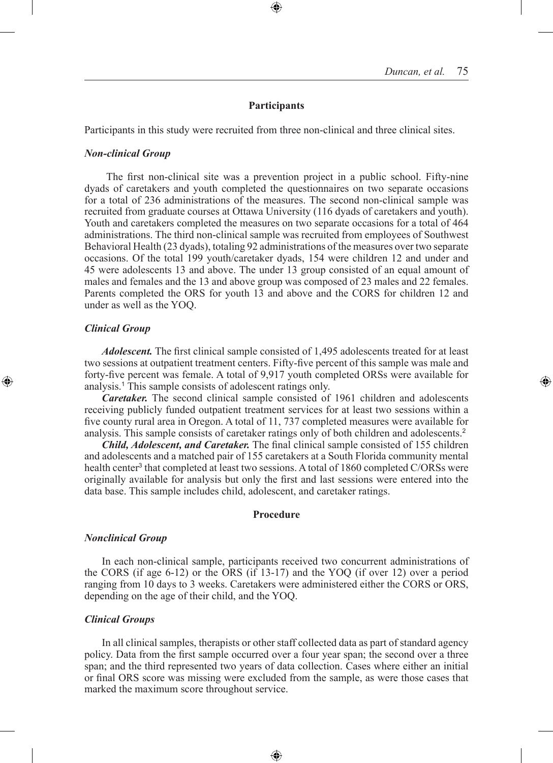### **Participants**

Participants in this study were recruited from three non-clinical and three clinical sites.

#### *Non-clinical Group*

The first non-clinical site was a prevention project in a public school. Fifty-nine dyads of caretakers and youth completed the questionnaires on two separate occasions for a total of 236 administrations of the measures. The second non-clinical sample was recruited from graduate courses at Ottawa University (116 dyads of caretakers and youth). Youth and caretakers completed the measures on two separate occasions for a total of 464 administrations. The third non-clinical sample was recruited from employees of Southwest Behavioral Health (23 dyads), totaling 92 administrations of the measures over two separate occasions. Of the total 199 youth/caretaker dyads, 154 were children 12 and under and 45 were adolescents 13 and above. The under 13 group consisted of an equal amount of males and females and the 13 and above group was composed of 23 males and 22 females. Parents completed the ORS for youth 13 and above and the CORS for children 12 and under as well as the YOQ.

#### *Clinical Group*

*Adolescent.* The first clinical sample consisted of 1,495 adolescents treated for at least two sessions at outpatient treatment centers. Fifty-five percent of this sample was male and forty-five percent was female. A total of 9,917 youth completed ORSs were available for analysis.<sup>1</sup> This sample consists of adolescent ratings only.

*Caretaker.* The second clinical sample consisted of 1961 children and adolescents receiving publicly funded outpatient treatment services for at least two sessions within a five county rural area in Oregon. A total of 11, 737 completed measures were available for analysis. This sample consists of caretaker ratings only of both children and adolescents.<sup>2</sup>

*Child, Adolescent, and Caretaker.* The final clinical sample consisted of 155 children and adolescents and a matched pair of 155 caretakers at a South Florida community mental health center<sup>3</sup> that completed at least two sessions. A total of 1860 completed C/ORSs were originally available for analysis but only the first and last sessions were entered into the data base. This sample includes child, adolescent, and caretaker ratings.

#### **Procedure**

#### *Nonclinical Group*

In each non-clinical sample, participants received two concurrent administrations of the CORS (if age 6-12) or the ORS (if 13-17) and the YOQ (if over 12) over a period ranging from 10 days to 3 weeks. Caretakers were administered either the CORS or ORS, depending on the age of their child, and the YOQ.

#### *Clinical Groups*

In all clinical samples, therapists or other staff collected data as part of standard agency policy. Data from the first sample occurred over a four year span; the second over a three span; and the third represented two years of data collection. Cases where either an initial or final ORS score was missing were excluded from the sample, as were those cases that marked the maximum score throughout service.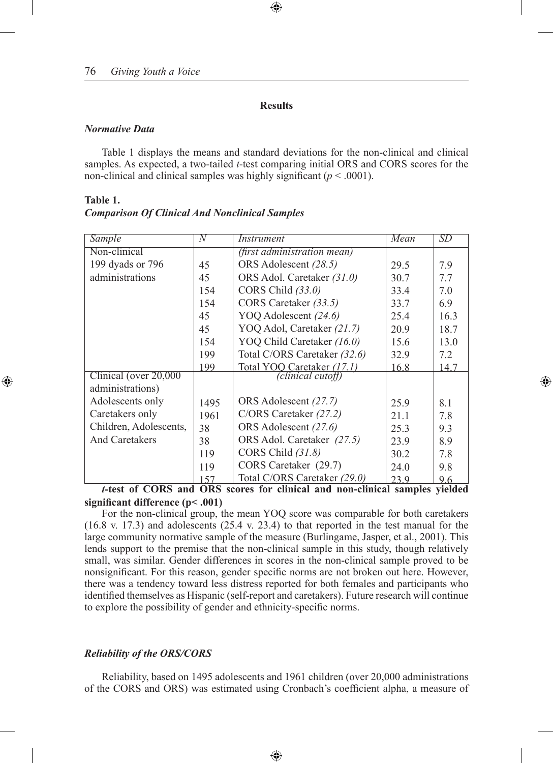### **Results**

### *Normative Data*

**Table 1.**

Table 1 displays the means and standard deviations for the non-clinical and clinical samples. As expected, a two-tailed *t*-test comparing initial ORS and CORS scores for the non-clinical and clinical samples was highly significant  $(p < .0001)$ .

| Sample                 | N    | Instrument                         | Mean | SD   |
|------------------------|------|------------------------------------|------|------|
| Non-clinical           |      | <i>(first administration mean)</i> |      |      |
| 199 dyads or 796       | 45   | ORS Adolescent (28.5)              | 29.5 | 7.9  |
| administrations        | 45   | ORS Adol. Caretaker (31.0)         | 30.7 | 7.7  |
|                        | 154  | CORS Child (33.0)                  | 33.4 | 7.0  |
|                        | 154  | CORS Caretaker (33.5)              | 33.7 | 6.9  |
|                        | 45   | YOQ Adolescent (24.6)              | 25.4 | 16.3 |
|                        | 45   | YOQ Adol, Caretaker (21.7)         | 20.9 | 18.7 |
|                        | 154  | YOQ Child Caretaker (16.0)         | 15.6 | 13.0 |
|                        | 199  | Total C/ORS Caretaker (32.6)       | 32.9 | 7.2  |
|                        | 199  | Total YOQ Caretaker (17.1)         | 16.8 | 14 7 |
| Clinical (over 20,000) |      | (clinical cutoff)                  |      |      |
| administrations)       |      |                                    |      |      |
| Adolescents only       | 1495 | ORS Adolescent (27.7)              | 25.9 | 8.1  |
| Caretakers only        | 1961 | C/ORS Caretaker (27.2)             | 21.1 | 7.8  |
| Children, Adolescents, | 38   | ORS Adolescent (27.6)              | 25.3 | 9.3  |
| <b>And Caretakers</b>  | 38   | ORS Adol. Caretaker (27.5)         | 23.9 | 8.9  |
|                        | 119  | CORS Child (31.8)                  | 30.2 | 7.8  |
|                        | 119  | CORS Caretaker (29.7)              | 24.0 | 9.8  |
| 0.0000                 | 157  | Total C/ORS Caretaker (29.0)       | 23.9 | 9.6  |

## *Comparison Of Clinical And Nonclinical Samples*

*t-***test of CORS and ORS scores for clinical and non-clinical samples yielded significant difference (p< .001)**

For the non-clinical group, the mean YOQ score was comparable for both caretakers (16.8 v. 17.3) and adolescents (25.4 v. 23.4) to that reported in the test manual for the large community normative sample of the measure (Burlingame, Jasper, et al., 2001). This lends support to the premise that the non-clinical sample in this study, though relatively small, was similar. Gender differences in scores in the non-clinical sample proved to be nonsignificant. For this reason, gender specific norms are not broken out here. However, there was a tendency toward less distress reported for both females and participants who identified themselves as Hispanic (self-report and caretakers). Future research will continue to explore the possibility of gender and ethnicity-specific norms.

## *Reliability of the ORS/CORS*

Reliability, based on 1495 adolescents and 1961 children (over 20,000 administrations of the CORS and ORS) was estimated using Cronbach's coefficient alpha, a measure of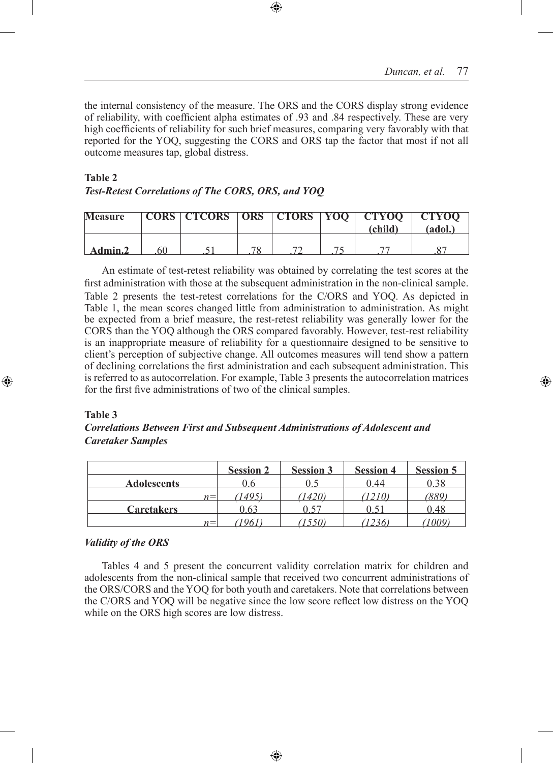the internal consistency of the measure. The ORS and the CORS display strong evidence of reliability, with coefficient alpha estimates of .93 and .84 respectively. These are very high coefficients of reliability for such brief measures, comparing very favorably with that reported for the YOQ, suggesting the CORS and ORS tap the factor that most if not all outcome measures tap, global distress.

## **Table 2** *Test-Retest Correlations of The CORS, ORS, and YOQ*

| <b>Measure</b> | CORS   CTCORS   ORS   CTORS   YOO   CTYOO |  | (child` | - CTYOO-<br>(adol.) |
|----------------|-------------------------------------------|--|---------|---------------------|
| Admin.2        |                                           |  |         |                     |

An estimate of test-retest reliability was obtained by correlating the test scores at the first administration with those at the subsequent administration in the non-clinical sample. Table 2 presents the test-retest correlations for the C/ORS and YOQ. As depicted in Table 1, the mean scores changed little from administration to administration. As might be expected from a brief measure, the rest-retest reliability was generally lower for the CORS than the YOQ although the ORS compared favorably. However, test-rest reliability is an inappropriate measure of reliability for a questionnaire designed to be sensitive to client's perception of subjective change. All outcomes measures will tend show a pattern of declining correlations the first administration and each subsequent administration. This is referred to as autocorrelation. For example, Table 3 presents the autocorrelation matrices for the first five administrations of two of the clinical samples.

## **Table 3**

## *Correlations Between First and Subsequent Administrations of Adolescent and Caretaker Samples*

|                    |       | <b>Session 2</b> | <b>Session 3</b> | <b>Session 4</b> | <b>Session 5</b> |
|--------------------|-------|------------------|------------------|------------------|------------------|
| <b>Adolescents</b> |       |                  |                  | ) 44             |                  |
|                    | $n =$ |                  | 42               |                  |                  |
| <b>Caretakers</b>  |       | 163              |                  |                  | 48               |
|                    | $n =$ |                  |                  |                  |                  |

## *Validity of the ORS*

Tables 4 and 5 present the concurrent validity correlation matrix for children and adolescents from the non-clinical sample that received two concurrent administrations of the ORS/CORS and the YOQ for both youth and caretakers. Note that correlations between the C/ORS and YOQ will be negative since the low score reflect low distress on the YOQ while on the ORS high scores are low distress.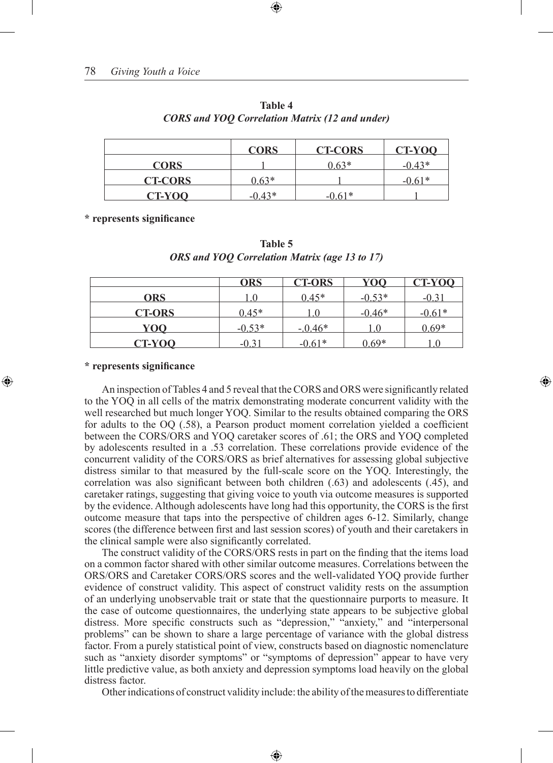|                | <b>CORS</b> | <b>CT-CORS</b> | CT-YOO   |
|----------------|-------------|----------------|----------|
| <b>CORS</b>    |             | $0.63*$        | $-0.43*$ |
| <b>CT-CORS</b> | $0.63*$     |                | $-0.61*$ |
| <b>CT-YOO</b>  | $-0.43*$    | በ 61*          |          |

## **Table 4** *CORS and YOQ Correlation Matrix (12 and under)*

**\* represents significance**

| <b>Table 5</b>                                       |  |
|------------------------------------------------------|--|
| <b>ORS</b> and YOQ Correlation Matrix (age 13 to 17) |  |

|               | <b>ORS</b> | <b>CT-ORS</b> | <u>YOO</u> | <b>CT-YOQ</b> |
|---------------|------------|---------------|------------|---------------|
| <b>ORS</b>    |            | $0.45*$       | $-0.53*$   | $-0.31$       |
| <b>CT-ORS</b> | $0.45*$    | $\mathbf{U}$  | $-0.46*$   | $-0.61*$      |
| <u>YOO</u>    | $-0.53*$   | $-0.46*$      |            | $0.69*$       |
| <b>CT-YOO</b> | $-() 31$   | $-0.61*$      | $0.69*$    |               |

### **\* represents significance**

An inspection of Tables 4 and 5 reveal that the CORS and ORS were significantly related to the YOQ in all cells of the matrix demonstrating moderate concurrent validity with the well researched but much longer YOQ. Similar to the results obtained comparing the ORS for adults to the OQ (.58), a Pearson product moment correlation yielded a coefficient between the CORS/ORS and YOQ caretaker scores of .61; the ORS and YOQ completed by adolescents resulted in a .53 correlation. These correlations provide evidence of the concurrent validity of the CORS/ORS as brief alternatives for assessing global subjective distress similar to that measured by the full-scale score on the YOQ. Interestingly, the correlation was also significant between both children (.63) and adolescents (.45), and caretaker ratings, suggesting that giving voice to youth via outcome measures is supported by the evidence. Although adolescents have long had this opportunity, the CORS is the first outcome measure that taps into the perspective of children ages 6-12. Similarly, change scores (the difference between first and last session scores) of youth and their caretakers in the clinical sample were also significantly correlated.

The construct validity of the CORS/ORS rests in part on the finding that the items load on a common factor shared with other similar outcome measures. Correlations between the ORS/ORS and Caretaker CORS/ORS scores and the well-validated YOQ provide further evidence of construct validity. This aspect of construct validity rests on the assumption of an underlying unobservable trait or state that the questionnaire purports to measure. It the case of outcome questionnaires, the underlying state appears to be subjective global distress. More specific constructs such as "depression," "anxiety," and "interpersonal problems" can be shown to share a large percentage of variance with the global distress factor. From a purely statistical point of view, constructs based on diagnostic nomenclature such as "anxiety disorder symptoms" or "symptoms of depression" appear to have very little predictive value, as both anxiety and depression symptoms load heavily on the global distress factor.

Other indications of construct validity include: the ability of the measures to differentiate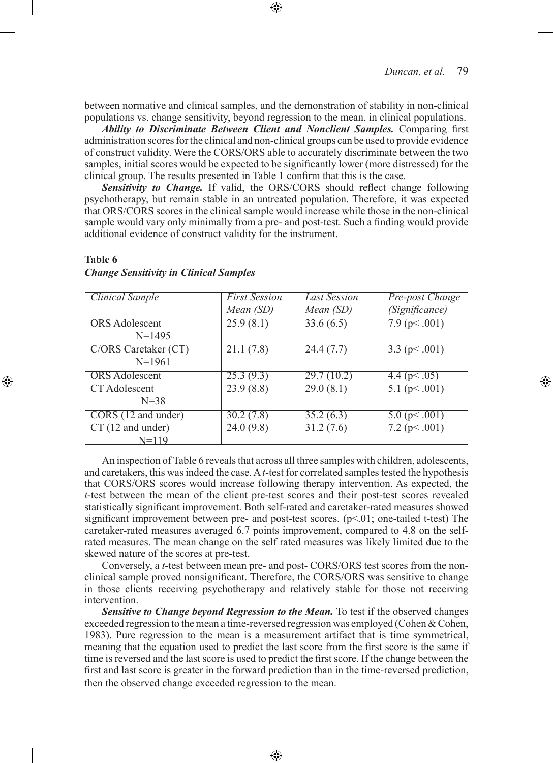between normative and clinical samples, and the demonstration of stability in non-clinical populations vs. change sensitivity, beyond regression to the mean, in clinical populations.

*Ability to Discriminate Between Client and Nonclient Samples.* Comparing first administration scores for the clinical and non-clinical groups can be used to provide evidence of construct validity. Were the CORS/ORS able to accurately discriminate between the two samples, initial scores would be expected to be significantly lower (more distressed) for the clinical group. The results presented in Table 1 confirm that this is the case.

*Sensitivity to Change.* If valid, the ORS/CORS should reflect change following psychotherapy, but remain stable in an untreated population. Therefore, it was expected that ORS/CORS scores in the clinical sample would increase while those in the non-clinical sample would vary only minimally from a pre- and post-test. Such a finding would provide additional evidence of construct validity for the instrument.

#### **Table 6**

| <b>Clinical Sample</b> | <b>First Session</b> | <b>Last Session</b> | Pre-post Change     |
|------------------------|----------------------|---------------------|---------------------|
|                        | Mean (SD)            | Mean (SD)           | (Significance)      |
| <b>ORS</b> Adolescent  | 25.9(8.1)            | 33.6(6.5)           | $7.9$ (p $001$ )    |
| $N = 1495$             |                      |                     |                     |
| C/ORS Caretaker (CT)   | 21.1(7.8)            | 24.4(7.7)           | 3.3 ( $p< .001$ )   |
| $N=1961$               |                      |                     |                     |
| <b>ORS</b> Adolescent  | 25.3(9.3)            | 29.7(10.2)          | 4.4 ( $p$ < .05)    |
| CT Adolescent          | 23.9(8.8)            | 29.0(8.1)           | 5.1 ( $p<.001$ )    |
| $N = 38$               |                      |                     |                     |
| CORS (12 and under)    | 30.2(7.8)            | 35.2(6.3)           | $5.0$ (p $0.001$ )  |
| CT (12 and under)      | 24.0(9.8)            | 31.2(7.6)           | $7.2$ (p $< .001$ ) |
| $N = 119$              |                      |                     |                     |

## *Change Sensitivity in Clinical Samples*

An inspection of Table 6 reveals that across all three samples with children, adolescents, and caretakers, this was indeed the case. A *t*-test for correlated samples tested the hypothesis that CORS/ORS scores would increase following therapy intervention. As expected, the *t*-test between the mean of the client pre-test scores and their post-test scores revealed statistically significant improvement. Both self-rated and caretaker-rated measures showed significant improvement between pre- and post-test scores.  $(p<01$ ; one-tailed t-test) The caretaker-rated measures averaged 6.7 points improvement, compared to 4.8 on the selfrated measures. The mean change on the self rated measures was likely limited due to the skewed nature of the scores at pre-test.

Conversely, a *t*-test between mean pre- and post- CORS/ORS test scores from the nonclinical sample proved nonsignificant. Therefore, the CORS/ORS was sensitive to change in those clients receiving psychotherapy and relatively stable for those not receiving intervention.

*Sensitive to Change beyond Regression to the Mean.* To test if the observed changes exceeded regression to the mean a time-reversed regression was employed (Cohen & Cohen, 1983). Pure regression to the mean is a measurement artifact that is time symmetrical, meaning that the equation used to predict the last score from the first score is the same if time is reversed and the last score is used to predict the first score. If the change between the first and last score is greater in the forward prediction than in the time-reversed prediction, then the observed change exceeded regression to the mean.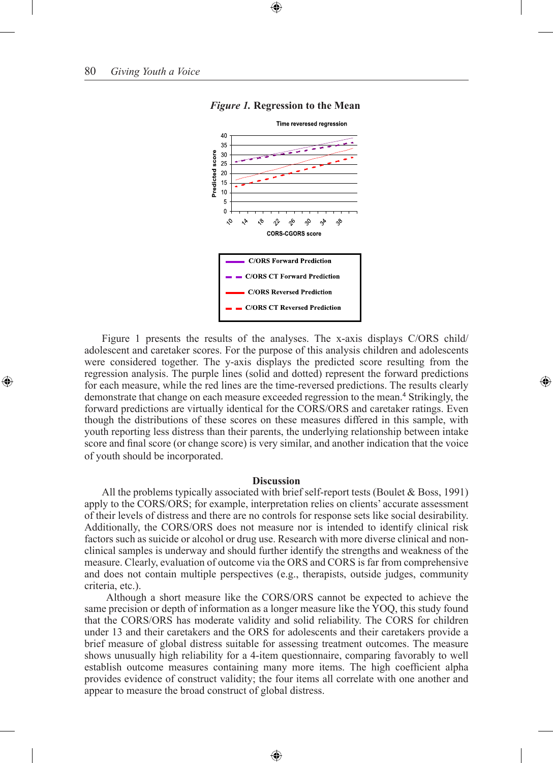

#### *Figure 1.* **Regression to the Mean**

Figure 1 presents the results of the analyses. The x-axis displays C/ORS child/ adolescent and caretaker scores. For the purpose of this analysis children and adolescents were considered together. The y-axis displays the predicted score resulting from the regression analysis. The purple lines (solid and dotted) represent the forward predictions for each measure, while the red lines are the time-reversed predictions. The results clearly demonstrate that change on each measure exceeded regression to the mean.<sup>4</sup> Strikingly, the forward predictions are virtually identical for the CORS/ORS and caretaker ratings. Even though the distributions of these scores on these measures differed in this sample, with youth reporting less distress than their parents, the underlying relationship between intake score and final score (or change score) is very similar, and another indication that the voice of youth should be incorporated.

#### **Discussion**

All the problems typically associated with brief self-report tests (Boulet & Boss, 1991) apply to the CORS/ORS; for example, interpretation relies on clients' accurate assessment of their levels of distress and there are no controls for response sets like social desirability. Additionally, the CORS/ORS does not measure nor is intended to identify clinical risk factors such as suicide or alcohol or drug use. Research with more diverse clinical and nonclinical samples is underway and should further identify the strengths and weakness of the measure. Clearly, evaluation of outcome via the ORS and CORS is far from comprehensive and does not contain multiple perspectives (e.g., therapists, outside judges, community criteria, etc.).

Although a short measure like the CORS/ORS cannot be expected to achieve the same precision or depth of information as a longer measure like the YOQ, this study found that the CORS/ORS has moderate validity and solid reliability. The CORS for children under 13 and their caretakers and the ORS for adolescents and their caretakers provide a brief measure of global distress suitable for assessing treatment outcomes. The measure shows unusually high reliability for a 4-item questionnaire, comparing favorably to well establish outcome measures containing many more items. The high coefficient alpha provides evidence of construct validity; the four items all correlate with one another and appear to measure the broad construct of global distress.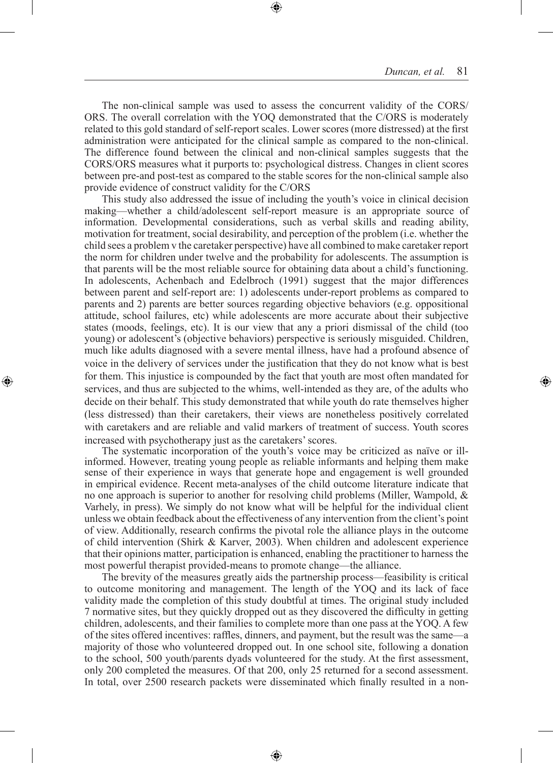The non-clinical sample was used to assess the concurrent validity of the CORS/ ORS. The overall correlation with the YOQ demonstrated that the C/ORS is moderately related to this gold standard of self-report scales. Lower scores (more distressed) at the first administration were anticipated for the clinical sample as compared to the non-clinical. The difference found between the clinical and non-clinical samples suggests that the CORS/ORS measures what it purports to: psychological distress. Changes in client scores between pre-and post-test as compared to the stable scores for the non-clinical sample also provide evidence of construct validity for the C/ORS

This study also addressed the issue of including the youth's voice in clinical decision making—whether a child/adolescent self-report measure is an appropriate source of information. Developmental considerations, such as verbal skills and reading ability, motivation for treatment, social desirability, and perception of the problem (i.e. whether the child sees a problem v the caretaker perspective) have all combined to make caretaker report the norm for children under twelve and the probability for adolescents. The assumption is that parents will be the most reliable source for obtaining data about a child's functioning. In adolescents, Achenbach and Edelbroch (1991) suggest that the major differences between parent and self-report are: 1) adolescents under-report problems as compared to parents and 2) parents are better sources regarding objective behaviors (e.g. oppositional attitude, school failures, etc) while adolescents are more accurate about their subjective states (moods, feelings, etc). It is our view that any a priori dismissal of the child (too young) or adolescent's (objective behaviors) perspective is seriously misguided. Children, much like adults diagnosed with a severe mental illness, have had a profound absence of voice in the delivery of services under the justification that they do not know what is best for them. This injustice is compounded by the fact that youth are most often mandated for services, and thus are subjected to the whims, well-intended as they are, of the adults who decide on their behalf. This study demonstrated that while youth do rate themselves higher (less distressed) than their caretakers, their views are nonetheless positively correlated with caretakers and are reliable and valid markers of treatment of success. Youth scores increased with psychotherapy just as the caretakers' scores.

The systematic incorporation of the youth's voice may be criticized as naïve or illinformed. However, treating young people as reliable informants and helping them make sense of their experience in ways that generate hope and engagement is well grounded in empirical evidence. Recent meta-analyses of the child outcome literature indicate that no one approach is superior to another for resolving child problems (Miller, Wampold,  $\&$ Varhely, in press). We simply do not know what will be helpful for the individual client unless we obtain feedback about the effectiveness of any intervention from the client's point of view. Additionally, research confirms the pivotal role the alliance plays in the outcome of child intervention (Shirk & Karver, 2003). When children and adolescent experience that their opinions matter, participation is enhanced, enabling the practitioner to harness the most powerful therapist provided-means to promote change—the alliance.

The brevity of the measures greatly aids the partnership process—feasibility is critical to outcome monitoring and management. The length of the YOQ and its lack of face validity made the completion of this study doubtful at times. The original study included 7 normative sites, but they quickly dropped out as they discovered the difficulty in getting children, adolescents, and their families to complete more than one pass at the YOQ. A few of the sites offered incentives: raffles, dinners, and payment, but the result was the same—a majority of those who volunteered dropped out. In one school site, following a donation to the school, 500 youth/parents dyads volunteered for the study. At the first assessment, only 200 completed the measures. Of that 200, only 25 returned for a second assessment. In total, over 2500 research packets were disseminated which finally resulted in a non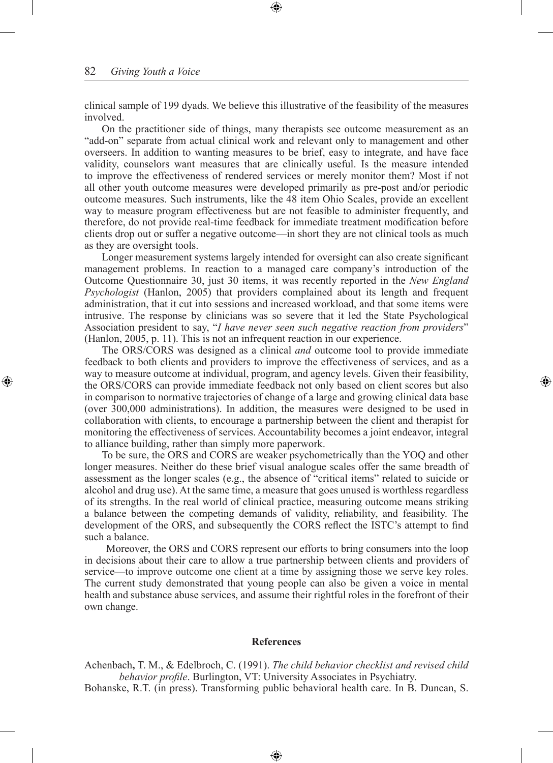clinical sample of 199 dyads. We believe this illustrative of the feasibility of the measures involved.

On the practitioner side of things, many therapists see outcome measurement as an "add-on" separate from actual clinical work and relevant only to management and other overseers. In addition to wanting measures to be brief, easy to integrate, and have face validity, counselors want measures that are clinically useful. Is the measure intended to improve the effectiveness of rendered services or merely monitor them? Most if not all other youth outcome measures were developed primarily as pre-post and/or periodic outcome measures. Such instruments, like the 48 item Ohio Scales, provide an excellent way to measure program effectiveness but are not feasible to administer frequently, and therefore, do not provide real-time feedback for immediate treatment modification before clients drop out or suffer a negative outcome—in short they are not clinical tools as much as they are oversight tools.

Longer measurement systems largely intended for oversight can also create significant management problems. In reaction to a managed care company's introduction of the Outcome Questionnaire 30, just 30 items, it was recently reported in the *New England Psychologist* (Hanlon, 2005) that providers complained about its length and frequent administration, that it cut into sessions and increased workload, and that some items were intrusive. The response by clinicians was so severe that it led the State Psychological Association president to say, "*I have never seen such negative reaction from providers*" (Hanlon, 2005, p. 11). This is not an infrequent reaction in our experience.

The ORS/CORS was designed as a clinical *and* outcome tool to provide immediate feedback to both clients and providers to improve the effectiveness of services, and as a way to measure outcome at individual, program, and agency levels. Given their feasibility, the ORS/CORS can provide immediate feedback not only based on client scores but also in comparison to normative trajectories of change of a large and growing clinical data base (over 300,000 administrations). In addition, the measures were designed to be used in collaboration with clients, to encourage a partnership between the client and therapist for monitoring the effectiveness of services. Accountability becomes a joint endeavor, integral to alliance building, rather than simply more paperwork.

To be sure, the ORS and CORS are weaker psychometrically than the YOQ and other longer measures. Neither do these brief visual analogue scales offer the same breadth of assessment as the longer scales (e.g., the absence of "critical items" related to suicide or alcohol and drug use). At the same time, a measure that goes unused is worthless regardless of its strengths. In the real world of clinical practice, measuring outcome means striking a balance between the competing demands of validity, reliability, and feasibility. The development of the ORS, and subsequently the CORS reflect the ISTC's attempt to find such a balance.

Moreover, the ORS and CORS represent our efforts to bring consumers into the loop in decisions about their care to allow a true partnership between clients and providers of service—to improve outcome one client at a time by assigning those we serve key roles. The current study demonstrated that young people can also be given a voice in mental health and substance abuse services, and assume their rightful roles in the forefront of their own change.

#### **References**

Achenbach**,** T. M., & Edelbroch, C. (1991). *The child behavior checklist and revised child behavior profile*. Burlington, VT: University Associates in Psychiatry.

Bohanske, R.T. (in press). Transforming public behavioral health care. In B. Duncan, S.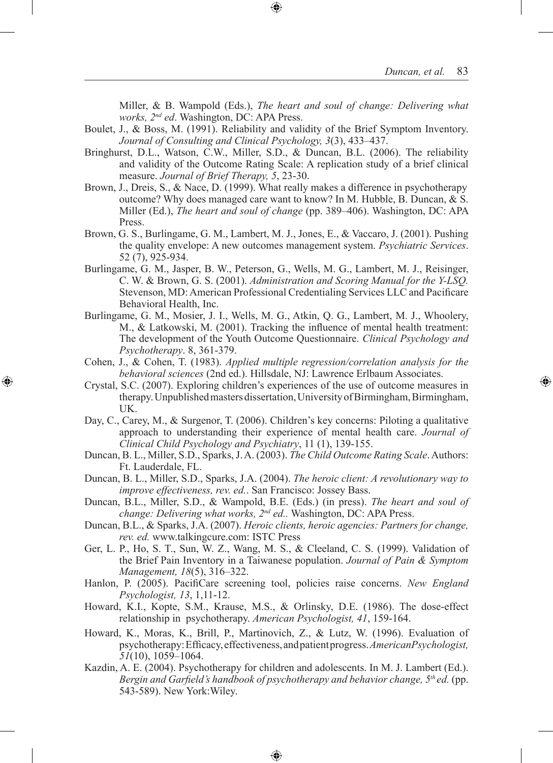Miller, & B. Wampold (Eds.), *The heart and soul of change: Delivering what works, 2nd ed*. Washington, DC: APA Press.

- Boulet, J., & Boss, M. (1991). Reliability and validity of the Brief Symptom Inventory. *Journal of Consulting and Clinical Psychology, 3*(3), 433–437.
- Bringhurst, D.L., Watson, C.W., Miller, S.D., & Duncan, B.L. (2006). The reliability and validity of the Outcome Rating Scale: A replication study of a brief clinical measure. *Journal of Brief Therapy, 5*, 23-30.
- Brown, J., Dreis, S., & Nace, D. (1999). What really makes a difference in psychotherapy outcome? Why does managed care want to know? In M. Hubble, B. Duncan, & S. Miller (Ed.), *The heart and soul of change* (pp. 389–406). Washington, DC: APA Press.
- Brown, G. S., Burlingame, G. M., Lambert, M. J., Jones, E., & Vaccaro, J. (2001). Pushing the quality envelope: A new outcomes management system. *Psychiatric Services*. 52 (7), 925-934.
- Burlingame, G. M., Jasper, B. W., Peterson, G., Wells, M. G., Lambert, M. J., Reisinger, C. W. & Brown, G. S. (2001). *Administration and Scoring Manual for the Y-LSQ.* Stevenson, MD: American Professional Credentialing Services LLC and Pacificare Behavioral Health, Inc.
- Burlingame, G. M., Mosier, J. I., Wells, M. G., Atkin, Q. G., Lambert, M. J., Whoolery, M., & Latkowski, M. (2001). Tracking the influence of mental health treatment: The development of the Youth Outcome Questionnaire. *Clinical Psychology and Psychotherapy*. 8, 361-379.
- Cohen, J., & Cohen, T. (1983). *Applied multiple regression/correlation analysis for the behavioral sciences* (2nd ed.). Hillsdale, NJ: Lawrence Erlbaum Associates.
- Crystal, S.C. (2007). Exploring children's experiences of the use of outcome measures in therapy. Unpublished masters dissertation, University of Birmingham, Birmingham, UK.
- Day, C., Carey, M., & Surgenor, T. (2006). Children's key concerns: Piloting a qualitative approach to understanding their experience of mental health care. *Journal of Clinical Child Psychology and Psychiatry*, 11 (1), 139-155.
- Duncan, B. L., Miller, S.D., Sparks, J. A. (2003). *The Child Outcome Rating Scale*. Authors: Ft. Lauderdale, FL.
- Duncan, B. L., Miller, S.D., Sparks, J.A. (2004). *The heroic client: A revolutionary way to improve effectiveness, rev. ed.*. San Francisco: Jossey Bass.
- Duncan, B.L., Miller, S.D., & Wampold, B.E. (Eds.) (in press). *The heart and soul of change: Delivering what works, 2nd ed..* Washington, DC: APA Press.
- Duncan, B.L., & Sparks, J.A. (2007). *Heroic clients, heroic agencies: Partners for change, rev. ed.* www.talkingcure.com: ISTC Press
- Ger, L. P., Ho, S. T., Sun, W. Z., Wang, M. S., & Cleeland, C. S. (1999). Validation of the Brief Pain Inventory in a Taiwanese population. *Journal of Pain & Symptom Management, 18*(5), 316–322.
- Hanlon, P. (2005). PacifiCare screening tool, policies raise concerns. *New England Psychologist, 13*, 1,11-12.
- Howard, K.I., Kopte, S.M., Krause, M.S., & Orlinsky, D.E. (1986). The dose-effect relationship in psychotherapy. *American Psychologist, 41*, 159-164.
- Howard, K., Moras, K., Brill, P., Martinovich, Z., & Lutz, W. (1996). Evaluation of psychotherapy: Efficacy, effectiveness, and patient progress. *AmericanPsychologist, 51*(10), 1059–1064.
- Kazdin, A. E. (2004). Psychotherapy for children and adolescents. In M. J. Lambert (Ed.). *Bergin and Garfield's handbook of psychotherapy and behavior change, 5th ed.* (pp. 543-589). New York:Wiley.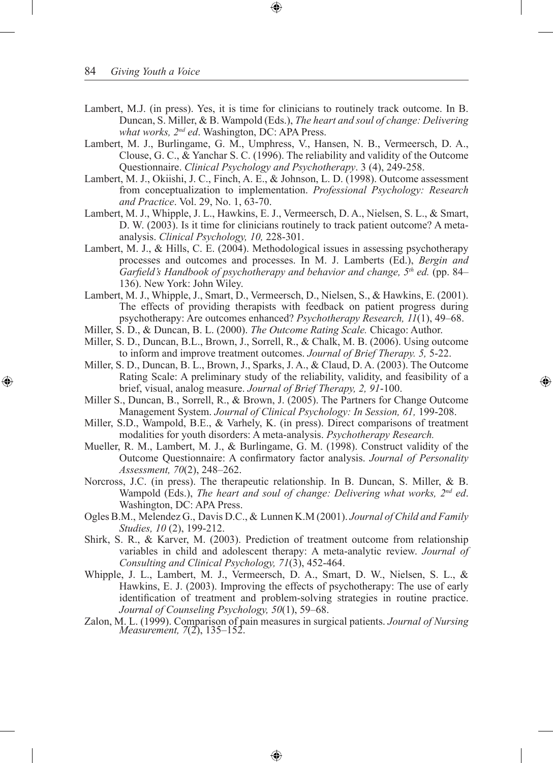- Lambert, M.J. (in press). Yes, it is time for clinicians to routinely track outcome. In B. Duncan, S. Miller, & B. Wampold (Eds.), *The heart and soul of change: Delivering what works, 2nd ed*. Washington, DC: APA Press.
- Lambert, M. J., Burlingame, G. M., Umphress, V., Hansen, N. B., Vermeersch, D. A., Clouse, G. C., & Yanchar S. C. (1996). The reliability and validity of the Outcome Questionnaire. *Clinical Psychology and Psychotherapy*. 3 (4), 249-258.
- Lambert, M. J., Okiishi, J. C., Finch, A. E., & Johnson, L. D. (1998). Outcome assessment from conceptualization to implementation. *Professional Psychology: Research and Practice*. Vol. 29, No. 1, 63-70.
- Lambert, M. J., Whipple, J. L., Hawkins, E. J., Vermeersch, D. A., Nielsen, S. L., & Smart, D. W. (2003). Is it time for clinicians routinely to track patient outcome? A metaanalysis. *Clinical Psychology, 10,* 228-301.
- Lambert, M. J., & Hills, C. E. (2004). Methodological issues in assessing psychotherapy processes and outcomes and processes. In M. J. Lamberts (Ed.), *Bergin and Garfield's Handbook of psychotherapy and behavior and change, 5th ed.* (pp. 84– 136). New York: John Wiley.
- Lambert, M. J., Whipple, J., Smart, D., Vermeersch, D., Nielsen, S., & Hawkins, E. (2001). The effects of providing therapists with feedback on patient progress during psychotherapy: Are outcomes enhanced? *Psychotherapy Research, 11*(1), 49–68.
- Miller, S. D., & Duncan, B. L. (2000). *The Outcome Rating Scale.* Chicago: Author.
- Miller, S. D., Duncan, B.L., Brown, J., Sorrell, R., & Chalk, M. B. (2006). Using outcome to inform and improve treatment outcomes. *Journal of Brief Therapy. 5,* 5-22.
- Miller, S. D., Duncan, B. L., Brown, J., Sparks, J. A., & Claud, D. A. (2003). The Outcome Rating Scale: A preliminary study of the reliability, validity, and feasibility of a brief, visual, analog measure. *Journal of Brief Therapy, 2, 91*-100.
- Miller S., Duncan, B., Sorrell, R., & Brown, J. (2005). The Partners for Change Outcome Management System. *Journal of Clinical Psychology: In Session, 61,* 199-208.
- Miller, S.D., Wampold, B.E., & Varhely, K. (in press). Direct comparisons of treatment modalities for youth disorders: A meta-analysis. *Psychotherapy Research.*
- Mueller, R. M., Lambert, M. J., & Burlingame, G. M. (1998). Construct validity of the Outcome Questionnaire: A confirmatory factor analysis. *Journal of Personality Assessment, 70*(2), 248–262.
- Norcross, J.C. (in press). The therapeutic relationship. In B. Duncan, S. Miller, & B. Wampold (Eds.), *The heart and soul of change: Delivering what works, 2nd ed*. Washington, DC: APA Press.
- Ogles B.M., Melendez G., Davis D.C., & Lunnen K.M (2001). *Journal of Child and Family Studies, 10* (2), 199-212.
- Shirk, S. R., & Karver, M. (2003). Prediction of treatment outcome from relationship variables in child and adolescent therapy: A meta-analytic review. *Journal of Consulting and Clinical Psychology, 71*(3), 452-464.
- Whipple, J. L., Lambert, M. J., Vermeersch, D. A., Smart, D. W., Nielsen, S. L., & Hawkins, E. J. (2003). Improving the effects of psychotherapy: The use of early identification of treatment and problem-solving strategies in routine practice. *Journal of Counseling Psychology, 50*(1), 59–68.
- Zalon, M. L. (1999). Comparison of pain measures in surgical patients. *Journal of Nursing Measurement, 7*(2), 135–152.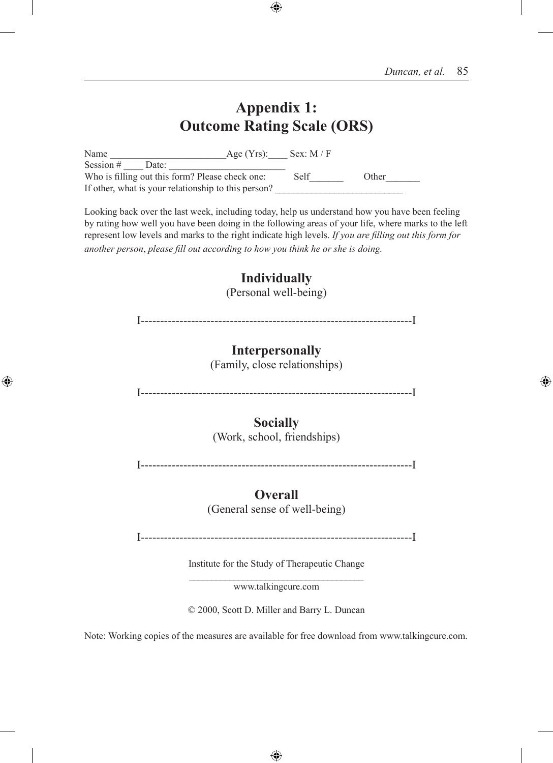## **Appendix 1: Outcome Rating Scale (ORS)**

Name \_\_\_\_\_\_\_\_\_\_\_\_\_\_\_\_\_\_\_\_\_\_\_\_Age (Yrs):\_\_\_\_ Sex: M / F Session  $\#$  Date: Who is filling out this form? Please check one: Self Other If other, what is your relationship to this person?

Looking back over the last week, including today, help us understand how you have been feeling by rating how well you have been doing in the following areas of your life, where marks to the left represent low levels and marks to the right indicate high levels. *If you are filling out this form for another person*, *please fill out according to how you think he or she is doing.*

# **Individually**

(Personal well-being)

I----------------------------------------------------------------------I

## **Interpersonally**

(Family, close relationships)

I----------------------------------------------------------------------I

## **Socially**

(Work, school, friendships)

I----------------------------------------------------------------------I

## **Overall**

(General sense of well-being)

I----------------------------------------------------------------------I

Institute for the Study of Therapeutic Change

 $\mathcal{L}_\text{max}$ www.talkingcure.com

© 2000, Scott D. Miller and Barry L. Duncan

Note: Working copies of the measures are available for free download from www.talkingcure.com.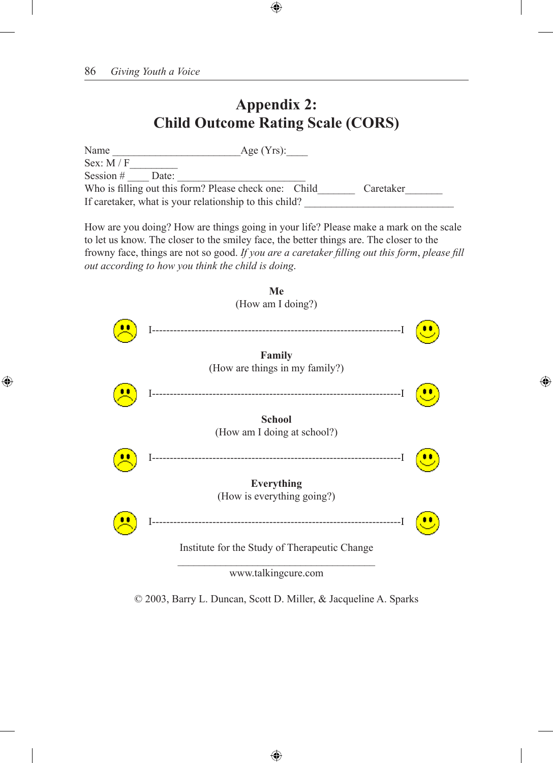## **Appendix 2: Child Outcome Rating Scale (CORS)**

| Name                                                   | Age $(Yrs)$ : |
|--------------------------------------------------------|---------------|
| Sex: $M / F$                                           |               |
| Session $#$<br>Date:                                   |               |
| Who is filling out this form? Please check one: Child  | Caretaker     |
| If caretaker, what is your relationship to this child? |               |
|                                                        |               |

How are you doing? How are things going in your life? Please make a mark on the scale to let us know. The closer to the smiley face, the better things are. The closer to the frowny face, things are not so good. *If you are a caretaker filling out this form*, *please fill out according to how you think the child is doing*.



© 2003, Barry L. Duncan, Scott D. Miller, & Jacqueline A. Sparks